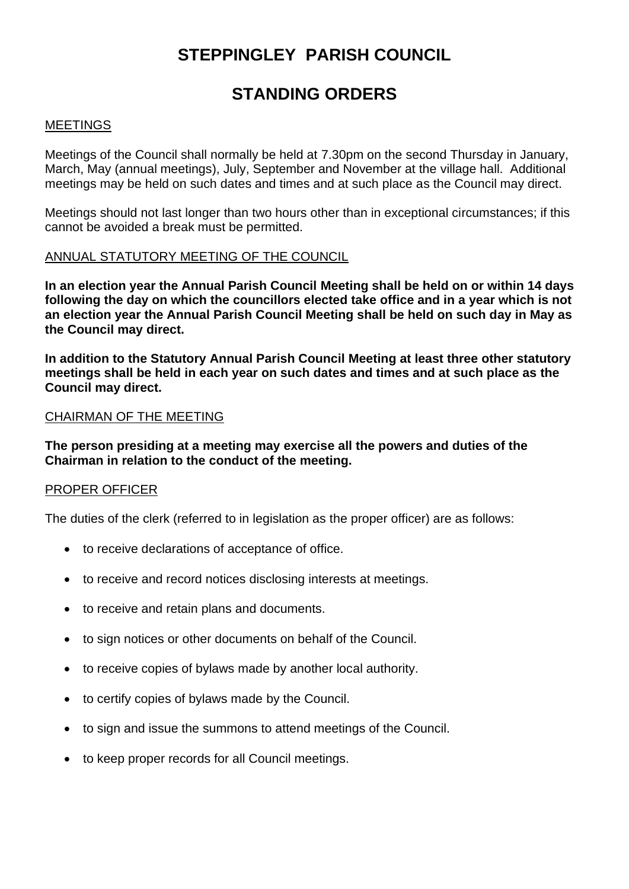# **STEPPINGLEY PARISH COUNCIL**

# **STANDING ORDERS**

### MEETINGS

Meetings of the Council shall normally be held at 7.30pm on the second Thursday in January, March, May (annual meetings), July, September and November at the village hall. Additional meetings may be held on such dates and times and at such place as the Council may direct.

Meetings should not last longer than two hours other than in exceptional circumstances; if this cannot be avoided a break must be permitted.

#### ANNUAL STATUTORY MEETING OF THE COUNCIL

**In an election year the Annual Parish Council Meeting shall be held on or within 14 days following the day on which the councillors elected take office and in a year which is not an election year the Annual Parish Council Meeting shall be held on such day in May as the Council may direct.**

**In addition to the Statutory Annual Parish Council Meeting at least three other statutory meetings shall be held in each year on such dates and times and at such place as the Council may direct.**

#### CHAIRMAN OF THE MEETING

**The person presiding at a meeting may exercise all the powers and duties of the Chairman in relation to the conduct of the meeting.**

# PROPER OFFICER

The duties of the clerk (referred to in legislation as the proper officer) are as follows:

- to receive declarations of acceptance of office.
- to receive and record notices disclosing interests at meetings.
- to receive and retain plans and documents.
- to sign notices or other documents on behalf of the Council.
- to receive copies of bylaws made by another local authority.
- to certify copies of bylaws made by the Council.
- to sign and issue the summons to attend meetings of the Council.
- to keep proper records for all Council meetings.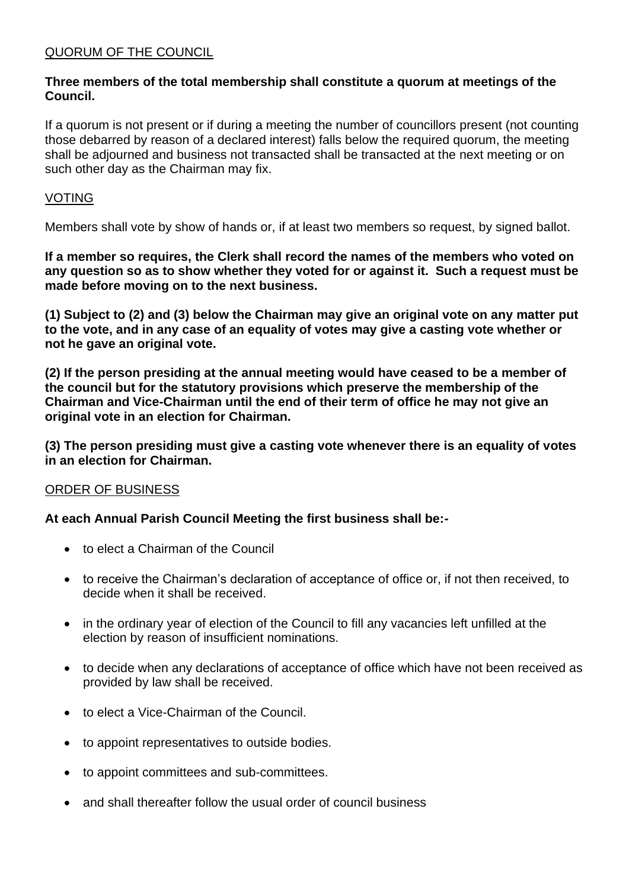# QUORUM OF THE COUNCIL

# **Three members of the total membership shall constitute a quorum at meetings of the Council.**

If a quorum is not present or if during a meeting the number of councillors present (not counting those debarred by reason of a declared interest) falls below the required quorum, the meeting shall be adjourned and business not transacted shall be transacted at the next meeting or on such other day as the Chairman may fix.

# VOTING

Members shall vote by show of hands or, if at least two members so request, by signed ballot.

**If a member so requires, the Clerk shall record the names of the members who voted on any question so as to show whether they voted for or against it. Such a request must be made before moving on to the next business.**

**(1) Subject to (2) and (3) below the Chairman may give an original vote on any matter put to the vote, and in any case of an equality of votes may give a casting vote whether or not he gave an original vote.**

**(2) If the person presiding at the annual meeting would have ceased to be a member of the council but for the statutory provisions which preserve the membership of the Chairman and Vice-Chairman until the end of their term of office he may not give an original vote in an election for Chairman.**

**(3) The person presiding must give a casting vote whenever there is an equality of votes in an election for Chairman.**

# ORDER OF BUSINESS

# **At each Annual Parish Council Meeting the first business shall be:-**

- to elect a Chairman of the Council
- to receive the Chairman's declaration of acceptance of office or, if not then received, to decide when it shall be received.
- in the ordinary year of election of the Council to fill any vacancies left unfilled at the election by reason of insufficient nominations.
- to decide when any declarations of acceptance of office which have not been received as provided by law shall be received.
- to elect a Vice-Chairman of the Council.
- to appoint representatives to outside bodies.
- to appoint committees and sub-committees.
- and shall thereafter follow the usual order of council business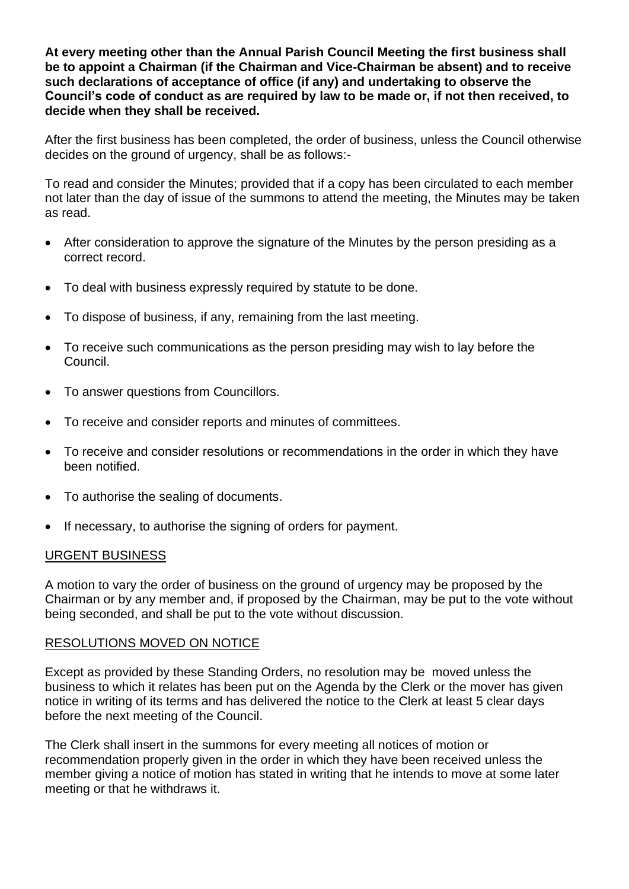**At every meeting other than the Annual Parish Council Meeting the first business shall be to appoint a Chairman (if the Chairman and Vice-Chairman be absent) and to receive such declarations of acceptance of office (if any) and undertaking to observe the Council's code of conduct as are required by law to be made or, if not then received, to decide when they shall be received.** 

After the first business has been completed, the order of business, unless the Council otherwise decides on the ground of urgency, shall be as follows:-

To read and consider the Minutes; provided that if a copy has been circulated to each member not later than the day of issue of the summons to attend the meeting, the Minutes may be taken as read.

- After consideration to approve the signature of the Minutes by the person presiding as a correct record.
- To deal with business expressly required by statute to be done.
- To dispose of business, if any, remaining from the last meeting.
- To receive such communications as the person presiding may wish to lay before the Council.
- To answer questions from Councillors.
- To receive and consider reports and minutes of committees.
- To receive and consider resolutions or recommendations in the order in which they have been notified.
- To authorise the sealing of documents.
- If necessary, to authorise the signing of orders for payment.

#### URGENT BUSINESS

A motion to vary the order of business on the ground of urgency may be proposed by the Chairman or by any member and, if proposed by the Chairman, may be put to the vote without being seconded, and shall be put to the vote without discussion.

#### RESOLUTIONS MOVED ON NOTICE

Except as provided by these Standing Orders, no resolution may be moved unless the business to which it relates has been put on the Agenda by the Clerk or the mover has given notice in writing of its terms and has delivered the notice to the Clerk at least 5 clear days before the next meeting of the Council.

The Clerk shall insert in the summons for every meeting all notices of motion or recommendation properly given in the order in which they have been received unless the member giving a notice of motion has stated in writing that he intends to move at some later meeting or that he withdraws it.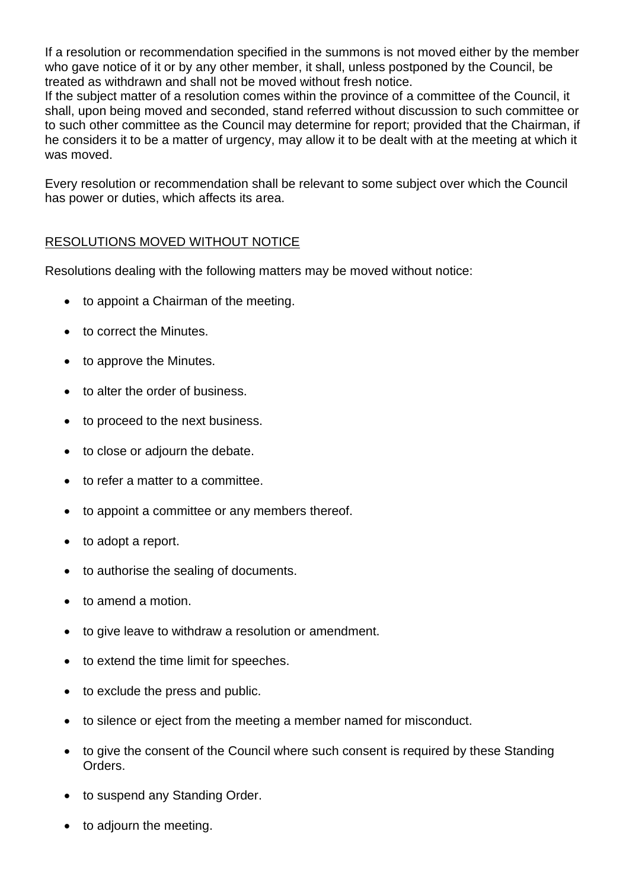If a resolution or recommendation specified in the summons is not moved either by the member who gave notice of it or by any other member, it shall, unless postponed by the Council, be treated as withdrawn and shall not be moved without fresh notice.

If the subject matter of a resolution comes within the province of a committee of the Council, it shall, upon being moved and seconded, stand referred without discussion to such committee or to such other committee as the Council may determine for report; provided that the Chairman, if he considers it to be a matter of urgency, may allow it to be dealt with at the meeting at which it was moved.

Every resolution or recommendation shall be relevant to some subject over which the Council has power or duties, which affects its area.

# RESOLUTIONS MOVED WITHOUT NOTICE

Resolutions dealing with the following matters may be moved without notice:

- to appoint a Chairman of the meeting.
- to correct the Minutes.
- to approve the Minutes.
- to alter the order of business.
- to proceed to the next business.
- to close or adjourn the debate.
- to refer a matter to a committee.
- to appoint a committee or any members thereof.
- to adopt a report.
- to authorise the sealing of documents.
- to amend a motion.
- to give leave to withdraw a resolution or amendment.
- to extend the time limit for speeches.
- to exclude the press and public.
- to silence or eject from the meeting a member named for misconduct.
- to give the consent of the Council where such consent is required by these Standing Orders.
- to suspend any Standing Order.
- to adjourn the meeting.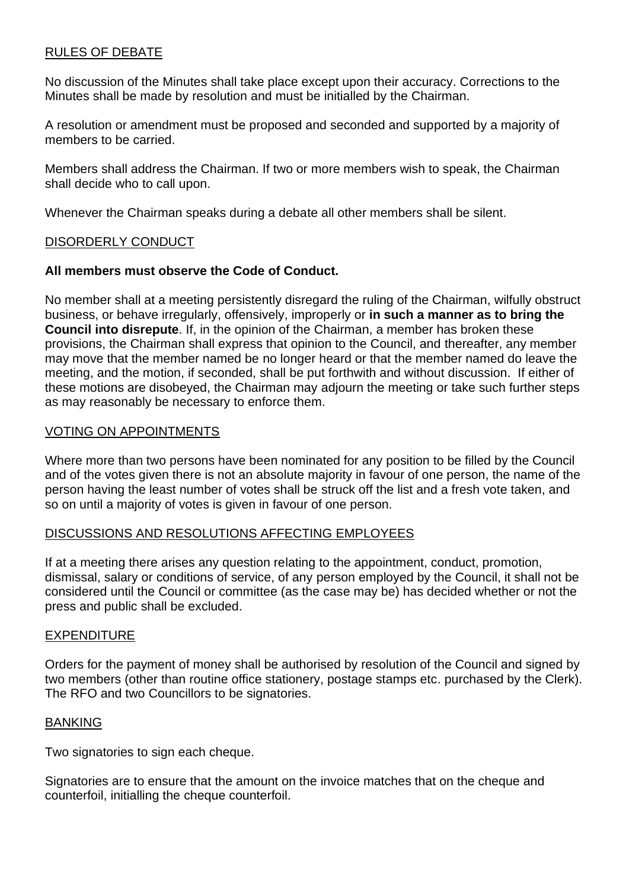# RULES OF DEBATE

No discussion of the Minutes shall take place except upon their accuracy. Corrections to the Minutes shall be made by resolution and must be initialled by the Chairman.

A resolution or amendment must be proposed and seconded and supported by a majority of members to be carried.

Members shall address the Chairman. If two or more members wish to speak, the Chairman shall decide who to call upon.

Whenever the Chairman speaks during a debate all other members shall be silent.

#### DISORDERLY CONDUCT

# **All members must observe the Code of Conduct.**

No member shall at a meeting persistently disregard the ruling of the Chairman, wilfully obstruct business, or behave irregularly, offensively, improperly or **in such a manner as to bring the Council into disrepute**. If, in the opinion of the Chairman, a member has broken these provisions, the Chairman shall express that opinion to the Council, and thereafter, any member may move that the member named be no longer heard or that the member named do leave the meeting, and the motion, if seconded, shall be put forthwith and without discussion. If either of these motions are disobeyed, the Chairman may adjourn the meeting or take such further steps as may reasonably be necessary to enforce them.

#### VOTING ON APPOINTMENTS

Where more than two persons have been nominated for any position to be filled by the Council and of the votes given there is not an absolute majority in favour of one person, the name of the person having the least number of votes shall be struck off the list and a fresh vote taken, and so on until a majority of votes is given in favour of one person.

# DISCUSSIONS AND RESOLUTIONS AFFECTING EMPLOYEES

If at a meeting there arises any question relating to the appointment, conduct, promotion, dismissal, salary or conditions of service, of any person employed by the Council, it shall not be considered until the Council or committee (as the case may be) has decided whether or not the press and public shall be excluded.

#### EXPENDITURE

Orders for the payment of money shall be authorised by resolution of the Council and signed by two members (other than routine office stationery, postage stamps etc. purchased by the Clerk). The RFO and two Councillors to be signatories.

#### BANKING

Two signatories to sign each cheque.

Signatories are to ensure that the amount on the invoice matches that on the cheque and counterfoil, initialling the cheque counterfoil.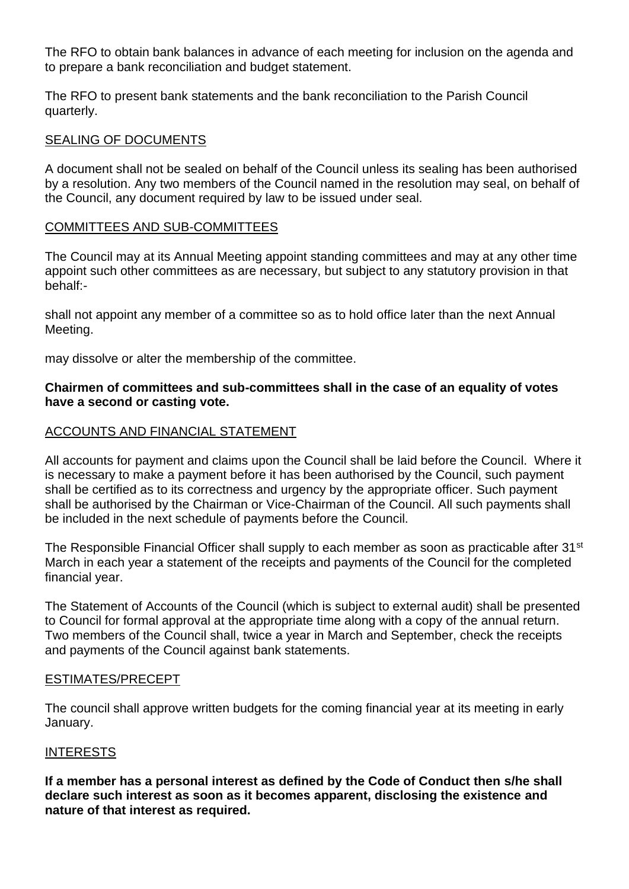The RFO to obtain bank balances in advance of each meeting for inclusion on the agenda and to prepare a bank reconciliation and budget statement.

The RFO to present bank statements and the bank reconciliation to the Parish Council quarterly.

# SEALING OF DOCUMENTS

A document shall not be sealed on behalf of the Council unless its sealing has been authorised by a resolution. Any two members of the Council named in the resolution may seal, on behalf of the Council, any document required by law to be issued under seal.

# COMMITTEES AND SUB-COMMITTEES

The Council may at its Annual Meeting appoint standing committees and may at any other time appoint such other committees as are necessary, but subject to any statutory provision in that behalf:-

shall not appoint any member of a committee so as to hold office later than the next Annual Meeting.

may dissolve or alter the membership of the committee.

# **Chairmen of committees and sub-committees shall in the case of an equality of votes have a second or casting vote.**

# ACCOUNTS AND FINANCIAL STATEMENT

All accounts for payment and claims upon the Council shall be laid before the Council. Where it is necessary to make a payment before it has been authorised by the Council, such payment shall be certified as to its correctness and urgency by the appropriate officer. Such payment shall be authorised by the Chairman or Vice-Chairman of the Council. All such payments shall be included in the next schedule of payments before the Council.

The Responsible Financial Officer shall supply to each member as soon as practicable after 31<sup>st</sup> March in each year a statement of the receipts and payments of the Council for the completed financial year.

The Statement of Accounts of the Council (which is subject to external audit) shall be presented to Council for formal approval at the appropriate time along with a copy of the annual return. Two members of the Council shall, twice a year in March and September, check the receipts and payments of the Council against bank statements.

# ESTIMATES/PRECEPT

The council shall approve written budgets for the coming financial year at its meeting in early January.

# INTERESTS

**If a member has a personal interest as defined by the Code of Conduct then s/he shall declare such interest as soon as it becomes apparent, disclosing the existence and nature of that interest as required.**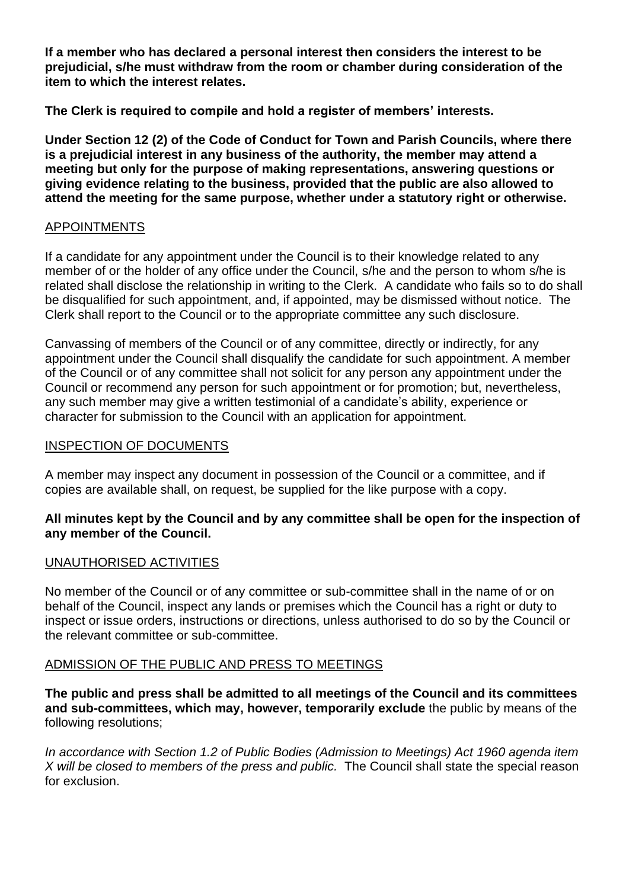**If a member who has declared a personal interest then considers the interest to be prejudicial, s/he must withdraw from the room or chamber during consideration of the item to which the interest relates.**

**The Clerk is required to compile and hold a register of members' interests.**

**Under Section 12 (2) of the Code of Conduct for Town and Parish Councils, where there is a prejudicial interest in any business of the authority, the member may attend a meeting but only for the purpose of making representations, answering questions or giving evidence relating to the business, provided that the public are also allowed to attend the meeting for the same purpose, whether under a statutory right or otherwise.**

# APPOINTMENTS

If a candidate for any appointment under the Council is to their knowledge related to any member of or the holder of any office under the Council, s/he and the person to whom s/he is related shall disclose the relationship in writing to the Clerk. A candidate who fails so to do shall be disqualified for such appointment, and, if appointed, may be dismissed without notice. The Clerk shall report to the Council or to the appropriate committee any such disclosure.

Canvassing of members of the Council or of any committee, directly or indirectly, for any appointment under the Council shall disqualify the candidate for such appointment. A member of the Council or of any committee shall not solicit for any person any appointment under the Council or recommend any person for such appointment or for promotion; but, nevertheless, any such member may give a written testimonial of a candidate's ability, experience or character for submission to the Council with an application for appointment.

# INSPECTION OF DOCUMENTS

A member may inspect any document in possession of the Council or a committee, and if copies are available shall, on request, be supplied for the like purpose with a copy.

# **All minutes kept by the Council and by any committee shall be open for the inspection of any member of the Council.**

# UNAUTHORISED ACTIVITIES

No member of the Council or of any committee or sub-committee shall in the name of or on behalf of the Council, inspect any lands or premises which the Council has a right or duty to inspect or issue orders, instructions or directions, unless authorised to do so by the Council or the relevant committee or sub-committee.

# ADMISSION OF THE PUBLIC AND PRESS TO MEETINGS

**The public and press shall be admitted to all meetings of the Council and its committees and sub-committees, which may, however, temporarily exclude** the public by means of the following resolutions;

*In accordance with Section 1.2 of Public Bodies (Admission to Meetings) Act 1960 agenda item X will be closed to members of the press and public.* The Council shall state the special reason for exclusion.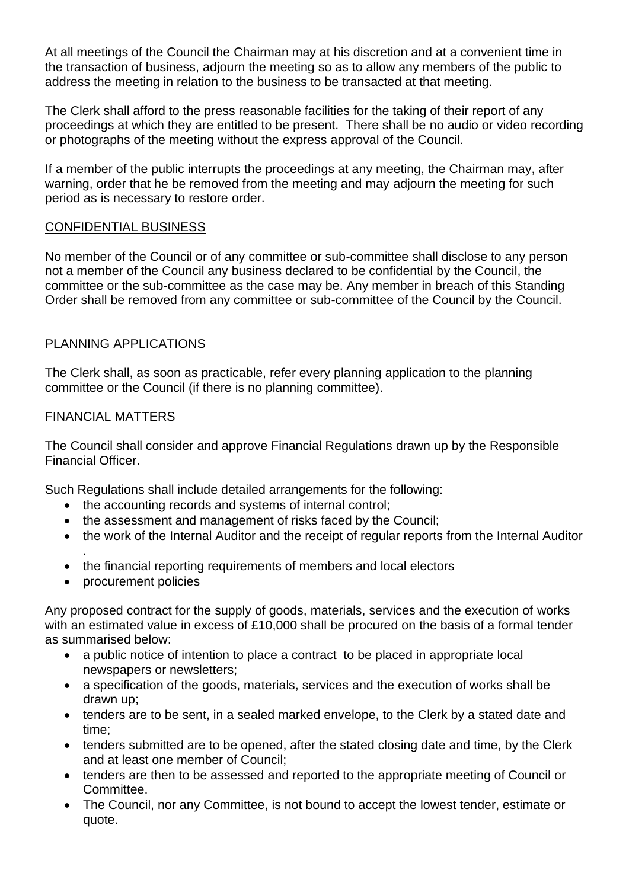At all meetings of the Council the Chairman may at his discretion and at a convenient time in the transaction of business, adjourn the meeting so as to allow any members of the public to address the meeting in relation to the business to be transacted at that meeting.

The Clerk shall afford to the press reasonable facilities for the taking of their report of any proceedings at which they are entitled to be present. There shall be no audio or video recording or photographs of the meeting without the express approval of the Council.

If a member of the public interrupts the proceedings at any meeting, the Chairman may, after warning, order that he be removed from the meeting and may adjourn the meeting for such period as is necessary to restore order.

# CONFIDENTIAL BUSINESS

No member of the Council or of any committee or sub-committee shall disclose to any person not a member of the Council any business declared to be confidential by the Council, the committee or the sub-committee as the case may be. Any member in breach of this Standing Order shall be removed from any committee or sub-committee of the Council by the Council.

# PLANNING APPLICATIONS

The Clerk shall, as soon as practicable, refer every planning application to the planning committee or the Council (if there is no planning committee).

# FINANCIAL MATTERS

The Council shall consider and approve Financial Regulations drawn up by the Responsible Financial Officer.

Such Regulations shall include detailed arrangements for the following:

- the accounting records and systems of internal control;
- the assessment and management of risks faced by the Council;
- the work of the Internal Auditor and the receipt of regular reports from the Internal Auditor
- . • the financial reporting requirements of members and local electors
- procurement policies

Any proposed contract for the supply of goods, materials, services and the execution of works with an estimated value in excess of £10,000 shall be procured on the basis of a formal tender as summarised below:

- a public notice of intention to place a contract to be placed in appropriate local newspapers or newsletters;
- a specification of the goods, materials, services and the execution of works shall be drawn up;
- tenders are to be sent, in a sealed marked envelope, to the Clerk by a stated date and time;
- tenders submitted are to be opened, after the stated closing date and time, by the Clerk and at least one member of Council;
- tenders are then to be assessed and reported to the appropriate meeting of Council or Committee.
- The Council, nor any Committee, is not bound to accept the lowest tender, estimate or quote.